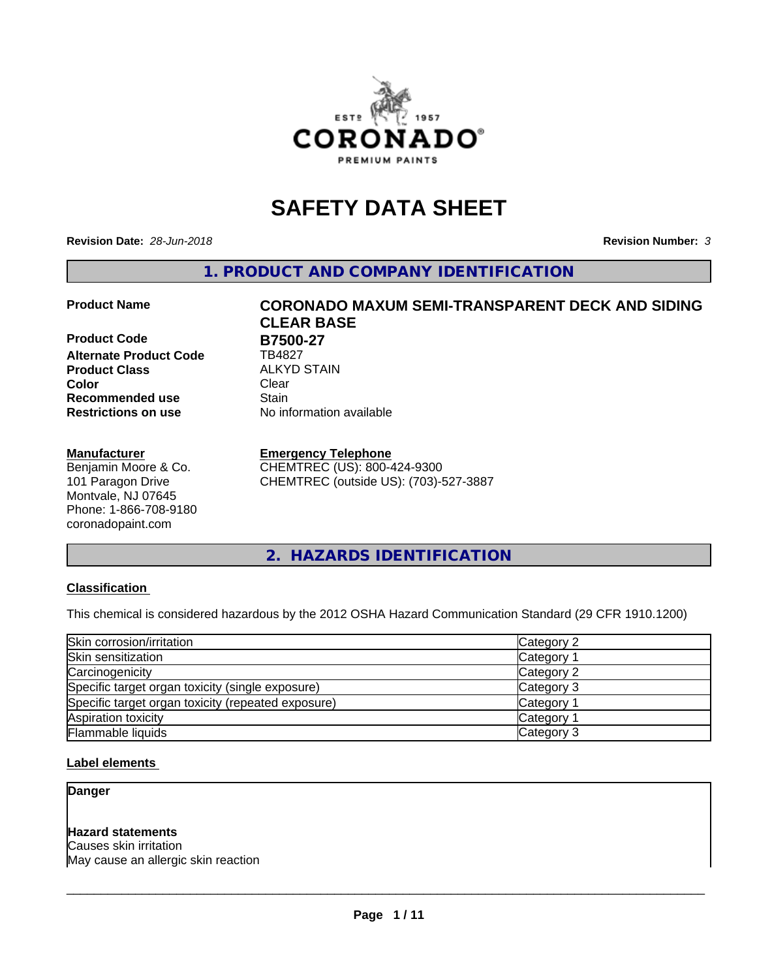

# **SAFETY DATA SHEET**

**Revision Date:** *28-Jun-2018* **Revision Number:** *3*

**1. PRODUCT AND COMPANY IDENTIFICATION**

**Product Code B7500-27 Alternate Product Code** TB4827 **Product Class ALKYD STAIN**<br> **Color** Clear **Color** Clear Clear **Recommended use Stain Restrictions on use** No information available

#### **Manufacturer**

Benjamin Moore & Co. 101 Paragon Drive Montvale, NJ 07645 Phone: 1-866-708-9180 coronadopaint.com

# **Product Name CORONADO MAXUM SEMI-TRANSPARENT DECK AND SIDING CLEAR BASE**

#### **Emergency Telephone**

CHEMTREC (US): 800-424-9300 CHEMTREC (outside US): (703)-527-3887

**2. HAZARDS IDENTIFICATION**

# **Classification**

This chemical is considered hazardous by the 2012 OSHA Hazard Communication Standard (29 CFR 1910.1200)

| Skin corrosion/irritation                          | Category 2            |
|----------------------------------------------------|-----------------------|
| Skin sensitization                                 | Category <sup>2</sup> |
| Carcinogenicity                                    | Category 2            |
| Specific target organ toxicity (single exposure)   | Category 3            |
| Specific target organ toxicity (repeated exposure) | Category 1            |
| Aspiration toxicity                                | Category 1            |
| Flammable liquids                                  | Category 3            |

### **Label elements**

**Danger**

# **Hazard statements**

Causes skin irritation May cause an allergic skin reaction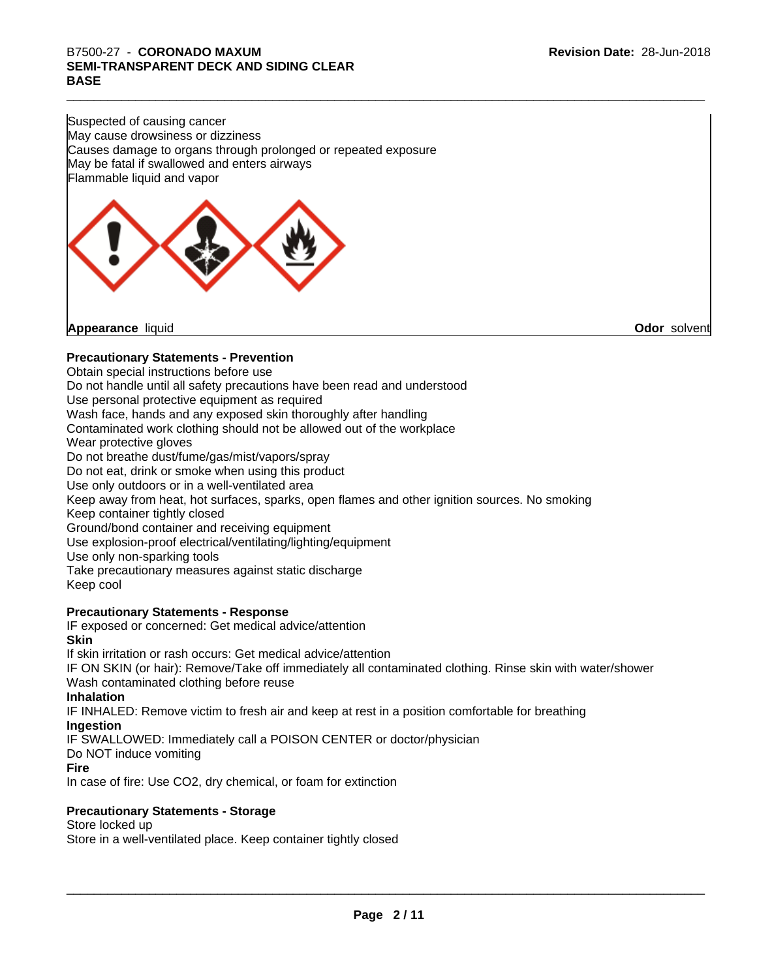# B7500-27 - CORONADO MAXUM<br>SEMI-TRANSPARENT DECK AND SIDING CLEAR<br>BASE **SEMI-TRANSPARENT DECK AND SIDING CLEAR BASE**

Suspected of causing cancer May cause drowsiness or dizziness Causes damage to organs through prolonged or repeated exposure May be fatal if swallowed and enters airways Flammable liquid and vapor



**Appearance** liquid **Odor** solvent

# **Precautionary Statements - Prevention**

Obtain special instructions before use Do not handle until all safety precautions have been read and understood Use personal protective equipment as required Wash face, hands and any exposed skin thoroughly after handling Contaminated work clothing should not be allowed out of the workplace Wear protective gloves Do not breathe dust/fume/gas/mist/vapors/spray Do not eat, drink or smoke when using this product Use only outdoors or in a well-ventilated area Keep away from heat, hot surfaces, sparks, open flames and other ignition sources. No smoking Keep container tightly closed Ground/bond container and receiving equipment Use explosion-proof electrical/ventilating/lighting/equipment Use only non-sparking tools Take precautionary measures against static discharge Keep cool

# **Precautionary Statements - Response**

IF exposed or concerned: Get medical advice/attention **Skin** If skin irritation or rash occurs: Get medical advice/attention IF ON SKIN (or hair): Remove/Take off immediately all contaminated clothing. Rinse skin with water/shower Wash contaminated clothing before reuse **Inhalation** IF INHALED: Remove victim to fresh air and keep atrest in a position comfortable for breathing **Ingestion** IF SWALLOWED: Immediately call a POISON CENTER or doctor/physician Do NOT induce vomiting **Fire** In case of fire: Use CO2, dry chemical, or foam for extinction

# **Precautionary Statements - Storage**

Store locked up

Store in a well-ventilated place. Keep container tightly closed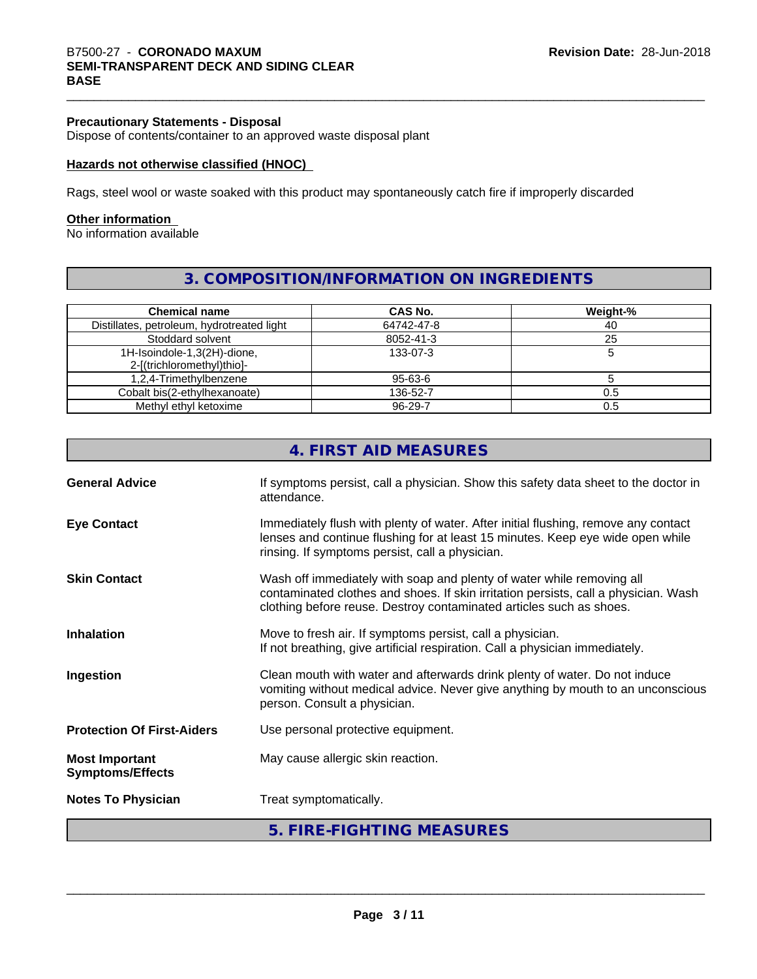Dispose of contents/container to an approved waste disposal plant

#### **Hazards not otherwise classified (HNOC)**

Rags, steel wool or waste soaked with this product may spontaneously catch fire if improperly discarded

#### **Other information**

No information available

# **3. COMPOSITION/INFORMATION ON INGREDIENTS**

| <b>Chemical name</b>                                      | <b>CAS No.</b> | Weight-% |
|-----------------------------------------------------------|----------------|----------|
| Distillates, petroleum, hydrotreated light                | 64742-47-8     | 40       |
| Stoddard solvent                                          | 8052-41-3      | 25       |
| 1H-Isoindole-1,3(2H)-dione,<br>2-[(trichloromethyl)thio]- | 133-07-3       |          |
| 1,2,4-Trimethylbenzene                                    | 95-63-6        |          |
| Cobalt bis(2-ethylhexanoate)                              | 136-52-7       | 0.5      |
| Methyl ethyl ketoxime                                     | 96-29-7        | 0.5      |

|                                                  | 4. FIRST AID MEASURES                                                                                                                                                                                                               |
|--------------------------------------------------|-------------------------------------------------------------------------------------------------------------------------------------------------------------------------------------------------------------------------------------|
| <b>General Advice</b>                            | If symptoms persist, call a physician. Show this safety data sheet to the doctor in<br>attendance.                                                                                                                                  |
| <b>Eye Contact</b>                               | Immediately flush with plenty of water. After initial flushing, remove any contact<br>lenses and continue flushing for at least 15 minutes. Keep eye wide open while<br>rinsing. If symptoms persist, call a physician.             |
| <b>Skin Contact</b>                              | Wash off immediately with soap and plenty of water while removing all<br>contaminated clothes and shoes. If skin irritation persists, call a physician. Wash<br>clothing before reuse. Destroy contaminated articles such as shoes. |
| Inhalation                                       | Move to fresh air. If symptoms persist, call a physician.<br>If not breathing, give artificial respiration. Call a physician immediately.                                                                                           |
| Ingestion                                        | Clean mouth with water and afterwards drink plenty of water. Do not induce<br>vomiting without medical advice. Never give anything by mouth to an unconscious<br>person. Consult a physician.                                       |
| <b>Protection Of First-Aiders</b>                | Use personal protective equipment.                                                                                                                                                                                                  |
| <b>Most Important</b><br><b>Symptoms/Effects</b> | May cause allergic skin reaction.                                                                                                                                                                                                   |
| <b>Notes To Physician</b>                        | Treat symptomatically.                                                                                                                                                                                                              |
|                                                  | 5. FIRE-FIGHTING MEASURES                                                                                                                                                                                                           |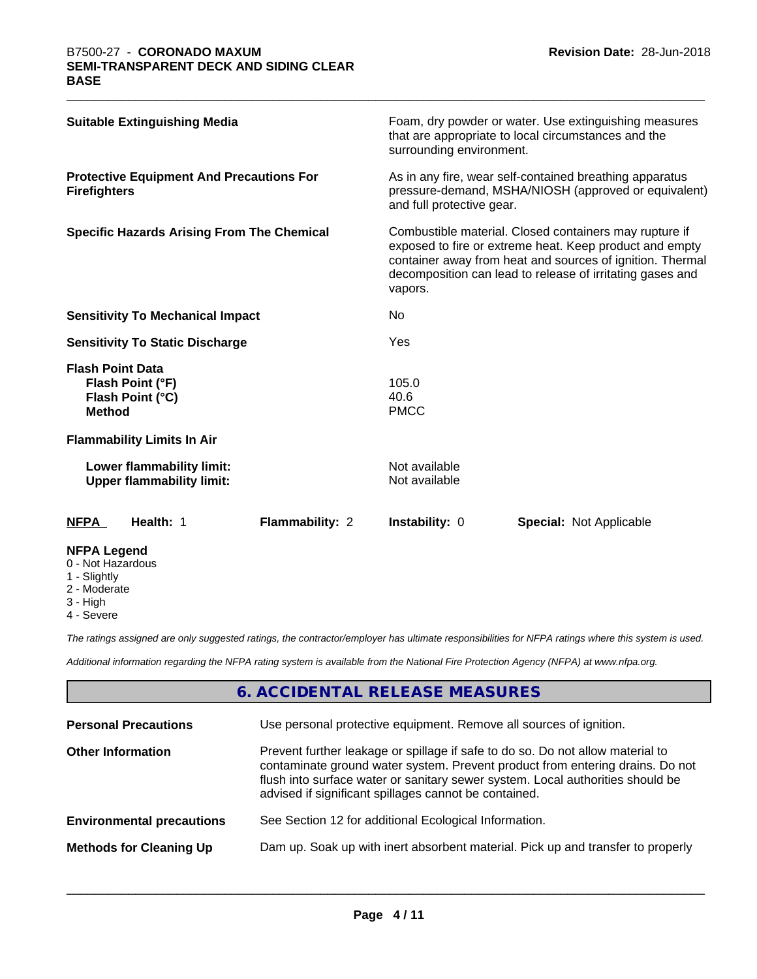| <b>NFPA Legend</b>                                                               |                 |                                |                                                                                                                                                                                                                                             |
|----------------------------------------------------------------------------------|-----------------|--------------------------------|---------------------------------------------------------------------------------------------------------------------------------------------------------------------------------------------------------------------------------------------|
| Health: 1<br><b>NFPA</b>                                                         | Flammability: 2 | <b>Instability: 0</b>          | <b>Special: Not Applicable</b>                                                                                                                                                                                                              |
| Lower flammability limit:<br><b>Upper flammability limit:</b>                    |                 | Not available<br>Not available |                                                                                                                                                                                                                                             |
| <b>Flammability Limits In Air</b>                                                |                 |                                |                                                                                                                                                                                                                                             |
| <b>Flash Point Data</b><br>Flash Point (°F)<br>Flash Point (°C)<br><b>Method</b> |                 | 105.0<br>40.6<br><b>PMCC</b>   |                                                                                                                                                                                                                                             |
| <b>Sensitivity To Static Discharge</b>                                           |                 | Yes                            |                                                                                                                                                                                                                                             |
| <b>Sensitivity To Mechanical Impact</b>                                          |                 | N <sub>0</sub>                 |                                                                                                                                                                                                                                             |
| <b>Specific Hazards Arising From The Chemical</b>                                |                 | vapors.                        | Combustible material. Closed containers may rupture if<br>exposed to fire or extreme heat. Keep product and empty<br>container away from heat and sources of ignition. Thermal<br>decomposition can lead to release of irritating gases and |
| <b>Protective Equipment And Precautions For</b><br><b>Firefighters</b>           |                 | and full protective gear.      | As in any fire, wear self-contained breathing apparatus<br>pressure-demand, MSHA/NIOSH (approved or equivalent)                                                                                                                             |
| <b>Suitable Extinguishing Media</b>                                              |                 | surrounding environment.       | Foam, dry powder or water. Use extinguishing measures<br>that are appropriate to local circumstances and the                                                                                                                                |

- 0 Not Hazardous
- 1 Slightly
- 2 Moderate
- 3 High
- 4 Severe

*The ratings assigned are only suggested ratings, the contractor/employer has ultimate responsibilities for NFPA ratings where this system is used.*

*Additional information regarding the NFPA rating system is available from the National Fire Protection Agency (NFPA) at www.nfpa.org.*

# **6. ACCIDENTAL RELEASE MEASURES**

| <b>Personal Precautions</b>      | Use personal protective equipment. Remove all sources of ignition.                                                                                                                                                                                                                                         |
|----------------------------------|------------------------------------------------------------------------------------------------------------------------------------------------------------------------------------------------------------------------------------------------------------------------------------------------------------|
| <b>Other Information</b>         | Prevent further leakage or spillage if safe to do so. Do not allow material to<br>contaminate ground water system. Prevent product from entering drains. Do not<br>flush into surface water or sanitary sewer system. Local authorities should be<br>advised if significant spillages cannot be contained. |
| <b>Environmental precautions</b> | See Section 12 for additional Ecological Information.                                                                                                                                                                                                                                                      |
| <b>Methods for Cleaning Up</b>   | Dam up. Soak up with inert absorbent material. Pick up and transfer to properly                                                                                                                                                                                                                            |
|                                  |                                                                                                                                                                                                                                                                                                            |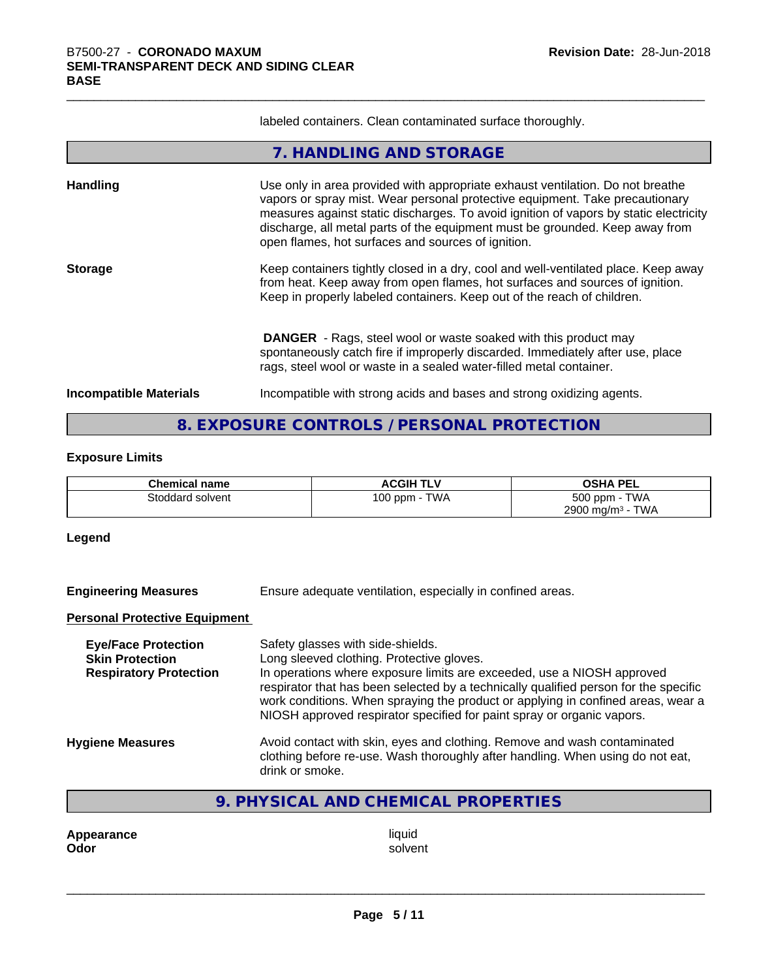labeled containers. Clean contaminated surface thoroughly.

|                               | 7. HANDLING AND STORAGE                                                                                                                                                                                                                                                                                                                                                                       |
|-------------------------------|-----------------------------------------------------------------------------------------------------------------------------------------------------------------------------------------------------------------------------------------------------------------------------------------------------------------------------------------------------------------------------------------------|
| Handling                      | Use only in area provided with appropriate exhaust ventilation. Do not breathe<br>vapors or spray mist. Wear personal protective equipment. Take precautionary<br>measures against static discharges. To avoid ignition of vapors by static electricity<br>discharge, all metal parts of the equipment must be grounded. Keep away from<br>open flames, hot surfaces and sources of ignition. |
| <b>Storage</b>                | Keep containers tightly closed in a dry, cool and well-ventilated place. Keep away<br>from heat. Keep away from open flames, hot surfaces and sources of ignition.<br>Keep in properly labeled containers. Keep out of the reach of children.                                                                                                                                                 |
|                               | <b>DANGER</b> - Rags, steel wool or waste soaked with this product may<br>spontaneously catch fire if improperly discarded. Immediately after use, place<br>rags, steel wool or waste in a sealed water-filled metal container.                                                                                                                                                               |
| <b>Incompatible Materials</b> | Incompatible with strong acids and bases and strong oxidizing agents.                                                                                                                                                                                                                                                                                                                         |
|                               | 8. EXPOSURE CONTROLS / PERSONAL PROTECTION                                                                                                                                                                                                                                                                                                                                                    |

# **Exposure Limits**

| <b>Chemical name</b> | <b>ACGIH TLV</b>        | <b>OSHA PEL</b>                        |
|----------------------|-------------------------|----------------------------------------|
| Stoddard solvent     | <b>TWA</b><br>$100$ ppm | <b>TWA</b><br>500 ppm -                |
|                      |                         | 2900 mg/m <sup>3</sup> -<br><b>TWA</b> |

# **Legend**

**Engineering Measures** Ensure adequate ventilation, especially in confined areas.

#### **Personal Protective Equipment**

| Safety glasses with side-shields.<br>Long sleeved clothing. Protective gloves.<br>In operations where exposure limits are exceeded, use a NIOSH approved<br>respirator that has been selected by a technically qualified person for the specific<br>work conditions. When spraying the product or applying in confined areas, wear a<br>NIOSH approved respirator specified for paint spray or organic vapors. |
|----------------------------------------------------------------------------------------------------------------------------------------------------------------------------------------------------------------------------------------------------------------------------------------------------------------------------------------------------------------------------------------------------------------|
| Avoid contact with skin, eyes and clothing. Remove and wash contaminated<br>clothing before re-use. Wash thoroughly after handling. When using do not eat,<br>drink or smoke.                                                                                                                                                                                                                                  |
|                                                                                                                                                                                                                                                                                                                                                                                                                |

# **9. PHYSICAL AND CHEMICAL PROPERTIES**

**Appearance** liquid<br> **Odor** solver **Odor** solvent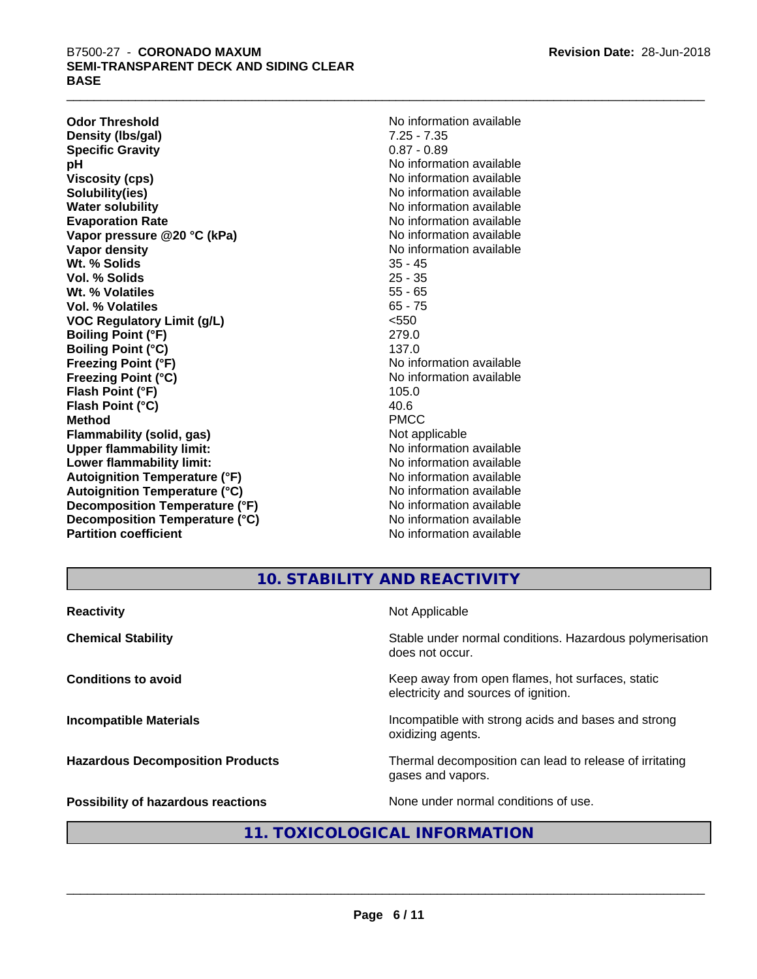**Odor Threshold**<br> **Density (Ibs/qal)**<br> **Density (Ibs/qal)**<br> **Density (Ibs/qal)**<br> **Density (Ibs/qal) Density (Ibs/gal)** 7.25 - 7.35<br> **Specific Gravity** 6.87 - 0.89 **Specific Gravity pH** No information available **Viscosity (cps)** No information available **Solubility(ies)** No information available **Water solubility** No information available **Evaporation Rate No information available No information available Vapor pressure @20 °C (kPa)** No information available **Vapor density No information available No information available Wt. % Solids** 35 - 45 **Vol. % Solids** 25 - 35 **Wt. % Volatiles Vol. % Volatiles** 65 - 75 **VOC Regulatory Limit (g/L)** <550 **Boiling Point (°F)** 279.0 **Boiling Point (°C)** 137.0 **Freezing Point (°F)**<br> **Freezing Point (°C)**<br> **Freezing Point (°C)**<br> **No information available Flash Point (°F)** 105.0 **Flash Point (°C)** 40.6 **Method** PMCC **Flammability (solid, gas)**<br> **Commability limit:**<br>
Under flammability limit:<br>
No information available **Upper flammability limit:**<br> **Lower flammability limit:** No information available<br>
No information available **Lower flammability limit: Autoignition Temperature (°F)** No information available **Autoignition Temperature (°C)** No information available **Decomposition Temperature (°F)** No information available **Decomposition Temperature (°C)** No information available **Partition coefficient Contract Community No information available** 

**Freezing Point (°C)** No information available

# **10. STABILITY AND REACTIVITY**

| <b>Reactivity</b>                         | Not Applicable                                                                           |
|-------------------------------------------|------------------------------------------------------------------------------------------|
| <b>Chemical Stability</b>                 | Stable under normal conditions. Hazardous polymerisation<br>does not occur.              |
| <b>Conditions to avoid</b>                | Keep away from open flames, hot surfaces, static<br>electricity and sources of ignition. |
| <b>Incompatible Materials</b>             | Incompatible with strong acids and bases and strong<br>oxidizing agents.                 |
| <b>Hazardous Decomposition Products</b>   | Thermal decomposition can lead to release of irritating<br>gases and vapors.             |
| <b>Possibility of hazardous reactions</b> | None under normal conditions of use.                                                     |

# **11. TOXICOLOGICAL INFORMATION**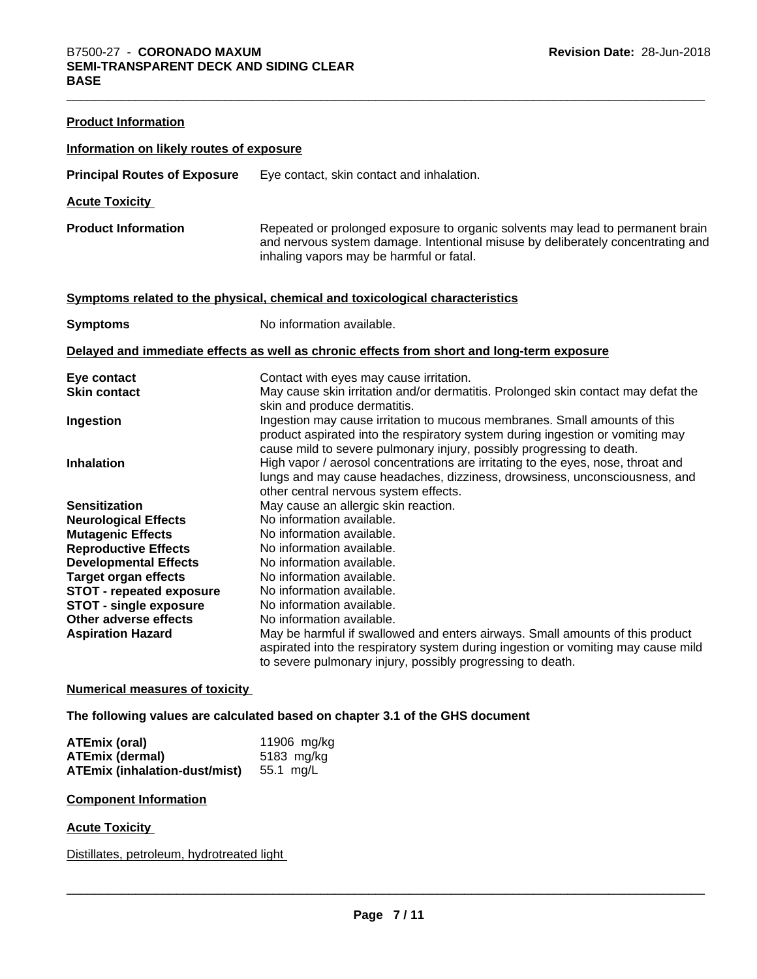| <b>Product Information</b>               |                                                                                                                                                                                                                                      |
|------------------------------------------|--------------------------------------------------------------------------------------------------------------------------------------------------------------------------------------------------------------------------------------|
| Information on likely routes of exposure |                                                                                                                                                                                                                                      |
| <b>Principal Routes of Exposure</b>      | Eye contact, skin contact and inhalation.                                                                                                                                                                                            |
| <b>Acute Toxicity</b>                    |                                                                                                                                                                                                                                      |
| <b>Product Information</b>               | Repeated or prolonged exposure to organic solvents may lead to permanent brain<br>and nervous system damage. Intentional misuse by deliberately concentrating and<br>inhaling vapors may be harmful or fatal.                        |
|                                          | Symptoms related to the physical, chemical and toxicological characteristics                                                                                                                                                         |
| <b>Symptoms</b>                          | No information available.                                                                                                                                                                                                            |
|                                          | Delayed and immediate effects as well as chronic effects from short and long-term exposure                                                                                                                                           |
| Eye contact                              | Contact with eyes may cause irritation.                                                                                                                                                                                              |
| <b>Skin contact</b>                      | May cause skin irritation and/or dermatitis. Prolonged skin contact may defat the<br>skin and produce dermatitis.                                                                                                                    |
| Ingestion                                | Ingestion may cause irritation to mucous membranes. Small amounts of this<br>product aspirated into the respiratory system during ingestion or vomiting may<br>cause mild to severe pulmonary injury, possibly progressing to death. |
| <b>Inhalation</b>                        | High vapor / aerosol concentrations are irritating to the eyes, nose, throat and<br>lungs and may cause headaches, dizziness, drowsiness, unconsciousness, and<br>other central nervous system effects.                              |
| <b>Sensitization</b>                     | May cause an allergic skin reaction.                                                                                                                                                                                                 |
| <b>Neurological Effects</b>              | No information available.                                                                                                                                                                                                            |
| <b>Mutagenic Effects</b>                 | No information available.                                                                                                                                                                                                            |
| <b>Reproductive Effects</b>              | No information available.                                                                                                                                                                                                            |
| <b>Developmental Effects</b>             | No information available.                                                                                                                                                                                                            |
| <b>Target organ effects</b>              | No information available.                                                                                                                                                                                                            |
| <b>STOT - repeated exposure</b>          | No information available.                                                                                                                                                                                                            |
| <b>STOT - single exposure</b>            | No information available.                                                                                                                                                                                                            |
| Other adverse effects                    | No information available.                                                                                                                                                                                                            |
| <b>Aspiration Hazard</b>                 | May be harmful if swallowed and enters airways. Small amounts of this product<br>aspirated into the respiratory system during ingestion or vomiting may cause mild<br>to severe pulmonary injury, possibly progressing to death.     |

# **Numerical measures of toxicity**

**The following values are calculated based on chapter 3.1 of the GHS document**

| ATEmix (oral)                           | 11906 mg/kg |
|-----------------------------------------|-------------|
| <b>ATEmix (dermal)</b>                  | 5183 mg/kg  |
| ATEmix (inhalation-dust/mist) 55.1 mg/L |             |

#### **Component Information**

#### **Acute Toxicity**

Distillates, petroleum, hydrotreated light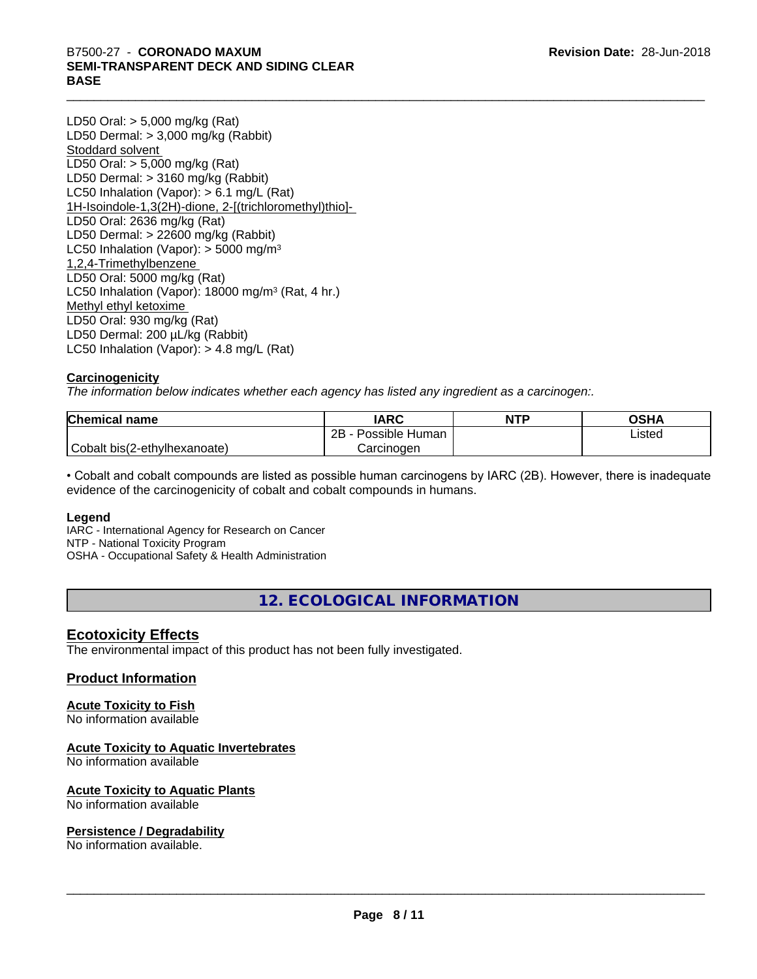# B7500-27 - CORONADO MAXUM<br>SEMI-TRANSPARENT DECK AND SIDING CLEAR<br>BASE **SEMI-TRANSPARENT DECK AND SIDING CLEAR BASE**

LD50 Oral: > 5,000 mg/kg (Rat) LD50 Dermal: > 3,000 mg/kg (Rabbit) Stoddard solvent LD50 Oral: > 5,000 mg/kg (Rat) LD50 Dermal: > 3160 mg/kg (Rabbit) LC50 Inhalation (Vapor): > 6.1 mg/L (Rat) 1H-Isoindole-1,3(2H)-dione, 2-[(trichloromethyl)thio]- LD50 Oral: 2636 mg/kg (Rat) LD50 Dermal: > 22600 mg/kg (Rabbit) LC50 Inhalation (Vapor):  $>$  5000 mg/m<sup>3</sup> 1,2,4-Trimethylbenzene LD50 Oral: 5000 mg/kg (Rat) LC50 Inhalation (Vapor): 18000 mg/m<sup>3</sup> (Rat, 4 hr.) Methyl ethyl ketoxime LD50 Oral: 930 mg/kg (Rat) LD50 Dermal: 200 µL/kg (Rabbit) LC50 Inhalation (Vapor): > 4.8 mg/L (Rat)

# **Carcinogenicity**

*The information below indicateswhether each agency has listed any ingredient as a carcinogen:.*

| <b>Chemical name</b>         | <b>IARC</b>          | <b>NTP</b> | <b>OSHA</b> |
|------------------------------|----------------------|------------|-------------|
|                              | 2B<br>Possible Human |            | Listed      |
| Cobalt bis(2-ethylhexanoate) | Carcinogen           |            |             |

• Cobalt and cobalt compounds are listed as possible human carcinogens by IARC (2B). However, there is inadequate evidence of the carcinogenicity of cobalt and cobalt compounds in humans.

# **Legend**

IARC - International Agency for Research on Cancer NTP - National Toxicity Program OSHA - Occupational Safety & Health Administration

**12. ECOLOGICAL INFORMATION**

# **Ecotoxicity Effects**

The environmental impact of this product has not been fully investigated.

# **Product Information**

# **Acute Toxicity to Fish**

No information available

#### **Acute Toxicity to Aquatic Invertebrates**

No information available

#### **Acute Toxicity to Aquatic Plants**

No information available

#### **Persistence / Degradability**

No information available.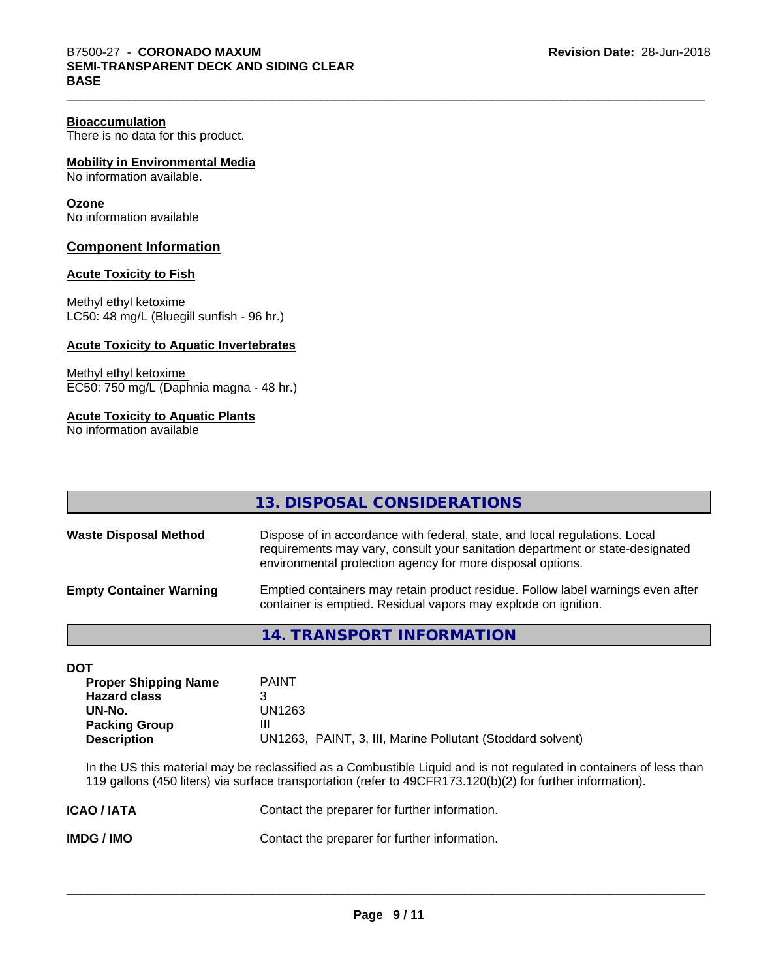There is no data for this product.

# **Mobility in Environmental Media**

No information available.

# **Ozone**

No information available

# **Component Information**

#### **Acute Toxicity to Fish**

Methyl ethyl ketoxime LC50: 48 mg/L (Bluegill sunfish - 96 hr.)

#### **Acute Toxicity to Aquatic Invertebrates**

Methyl ethyl ketoxime EC50: 750 mg/L (Daphnia magna - 48 hr.)

#### **Acute Toxicity to Aquatic Plants**

No information available

|                                | 13. DISPOSAL CONSIDERATIONS                                                                                                                                                                                               |
|--------------------------------|---------------------------------------------------------------------------------------------------------------------------------------------------------------------------------------------------------------------------|
| <b>Waste Disposal Method</b>   | Dispose of in accordance with federal, state, and local regulations. Local<br>requirements may vary, consult your sanitation department or state-designated<br>environmental protection agency for more disposal options. |
| <b>Empty Container Warning</b> | Emptied containers may retain product residue. Follow label warnings even after<br>container is emptied. Residual vapors may explode on ignition.                                                                         |

**14. TRANSPORT INFORMATION**

#### **DOT**

| <b>Proper Shipping Name</b> | <b>PAINT</b>                                               |
|-----------------------------|------------------------------------------------------------|
| <b>Hazard class</b>         |                                                            |
| UN-No.                      | UN1263                                                     |
| <b>Packing Group</b>        | Ш                                                          |
| <b>Description</b>          | UN1263, PAINT, 3, III, Marine Pollutant (Stoddard solvent) |

In the US this material may be reclassified as a Combustible Liquid and is not regulated in containers of less than 119 gallons (450 liters) via surface transportation (refer to 49CFR173.120(b)(2) for further information).

| <b>ICAO/IATA</b> | Contact the preparer for further information. |
|------------------|-----------------------------------------------|
| IMDG / IMO       | Contact the preparer for further information. |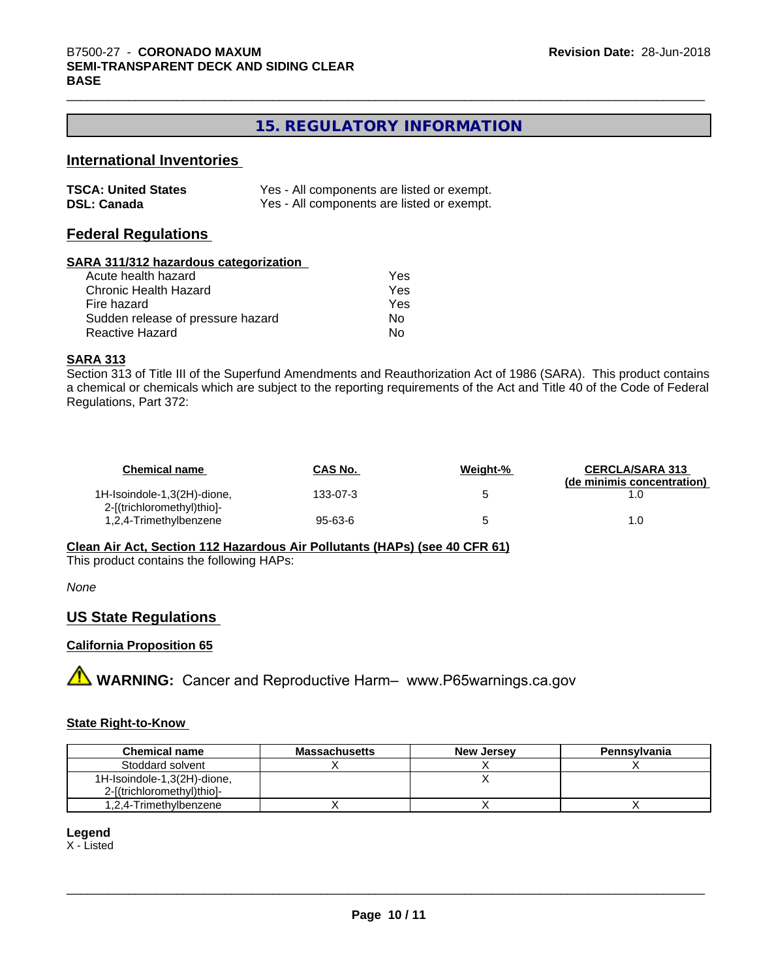# **15. REGULATORY INFORMATION**

# **International Inventories**

| <b>TSCA: United States</b> | Yes - All components are listed or exempt. |
|----------------------------|--------------------------------------------|
| <b>DSL: Canada</b>         | Yes - All components are listed or exempt. |

# **Federal Regulations**

#### **SARA 311/312 hazardous categorization**

| Acute health hazard               | Yes |  |
|-----------------------------------|-----|--|
| Chronic Health Hazard             | Yes |  |
| Fire hazard                       | Yes |  |
| Sudden release of pressure hazard | N٥  |  |
| Reactive Hazard                   | N٥  |  |

#### **SARA 313**

Section 313 of Title III of the Superfund Amendments and Reauthorization Act of 1986 (SARA). This product contains a chemical or chemicals which are subject to the reporting requirements of the Act and Title 40 of the Code of Federal Regulations, Part 372:

| <b>Chemical name</b>                                      | <b>CAS No.</b> | Weight-% | <b>CERCLA/SARA 313</b><br>(de minimis concentration) |
|-----------------------------------------------------------|----------------|----------|------------------------------------------------------|
| 1H-Isoindole-1,3(2H)-dione,<br>2-[(trichloromethyl)thio]- | 133-07-3       |          |                                                      |
| 1,2,4-Trimethylbenzene                                    | 95-63-6        |          | L.O                                                  |

**Clean Air Act,Section 112 Hazardous Air Pollutants (HAPs) (see 40 CFR 61)**

This product contains the following HAPs:

*None*

# **US State Regulations**

# **California Proposition 65**

**A** WARNING: Cancer and Reproductive Harm– www.P65warnings.ca.gov

# **State Right-to-Know**

| <b>Chemical name</b>        | <b>Massachusetts</b> | <b>New Jersey</b> | <b>Pennsylvania</b> |
|-----------------------------|----------------------|-------------------|---------------------|
| Stoddard solvent            |                      |                   |                     |
| 1H-Isoindole-1,3(2H)-dione, |                      |                   |                     |
| 2-[(trichloromethyl)thio]-  |                      |                   |                     |
| 1,2,4-Trimethylbenzene      |                      |                   |                     |

**Legend** X - Listed